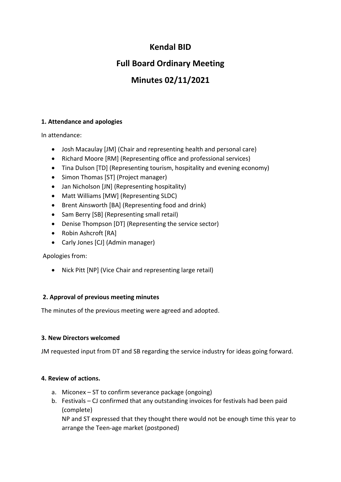## **Kendal BID**

# **Full Board Ordinary Meeting**

# **Minutes 02/11/2021**

## **1. Attendance and apologies**

In attendance:

- Josh Macaulay [JM] (Chair and representing health and personal care)
- Richard Moore [RM] (Representing office and professional services)
- Tina Dulson [TD] (Representing tourism, hospitality and evening economy)
- Simon Thomas [ST] (Project manager)
- Jan Nicholson [JN] (Representing hospitality)
- Matt Williams [MW] (Representing SLDC)
- Brent Ainsworth [BA] (Representing food and drink)
- Sam Berry [SB] (Representing small retail)
- Denise Thompson [DT] (Representing the service sector)
- Robin Ashcroft [RA]
- Carly Jones [CJ] (Admin manager)

Apologies from:

• Nick Pitt [NP] (Vice Chair and representing large retail)

## **2. Approval of previous meeting minutes**

The minutes of the previous meeting were agreed and adopted.

### **3. New Directors welcomed**

JM requested input from DT and SB regarding the service industry for ideas going forward.

### **4. Review of actions.**

- a. Miconex ST to confirm severance package (ongoing)
- b. Festivals CJ confirmed that any outstanding invoices for festivals had been paid (complete)

NP and ST expressed that they thought there would not be enough time this year to arrange the Teen-age market (postponed)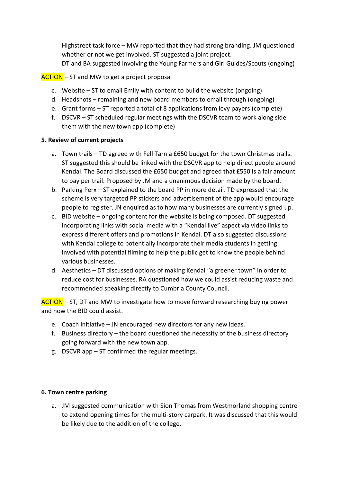Highstreet task force – MW reported that they had strong branding. JM questioned whether or not we get involved. ST suggested a joint project. DT and BA suggested involving the Young Farmers and Girl Guides/Scouts (ongoing)

### ACTION – ST and MW to get a project proposal

- c. Website ST to email Emily with content to build the website (ongoing)
- d. Headshots remaining and new board members to email through (ongoing)
- e. Grant forms ST reported a total of 8 applications from levy payers (complete)
- f. DSCVR ST scheduled regular meetings with the DSCVR team to work along side them with the new town app (complete)

#### **5. Review of current projects**

- a. Town trails TD agreed with Fell Tarn a £650 budget for the town Christmas trails. ST suggested this should be linked with the DSCVR app to help direct people around Kendal. The Board discussed the £650 budget and agreed that £550 is a fair amount to pay per trail. Proposed by JM and a unanimous decision made by the board.
- b. Parking Perx ST explained to the board PP in more detail. TD expressed that the scheme is very targeted PP stickers and advertisement of the app would encourage people to register. JN enquired as to how many businesses are currently signed up.
- c. BID website ongoing content for the website is being composed. DT suggested incorporating links with social media with a "Kendal live" aspect via video links to express different offers and promotions in Kendal. DT also suggested discussions with Kendal college to potentially incorporate their media students in getting involved with potential filming to help the public get to know the people behind various businesses.
- d. Aesthetics DT discussed options of making Kendal "a greener town" in order to reduce cost for businesses. RA questioned how we could assist reducing waste and recommended speaking directly to Cumbria County Council.

ACTION – ST, DT and MW to investigate how to move forward researching buying power and how the BID could assist.

- e. Coach initiative JN encouraged new directors for any new ideas.
- f. Business directory the board questioned the necessity of the business directory going forward with the new town app.
- g. DSCVR app ST confirmed the regular meetings.

### **6. Town centre parking**

a. JM suggested communication with Sion Thomas from Westmorland shopping centre to extend opening times for the multi-story carpark. It was discussed that this would be likely due to the addition of the college.